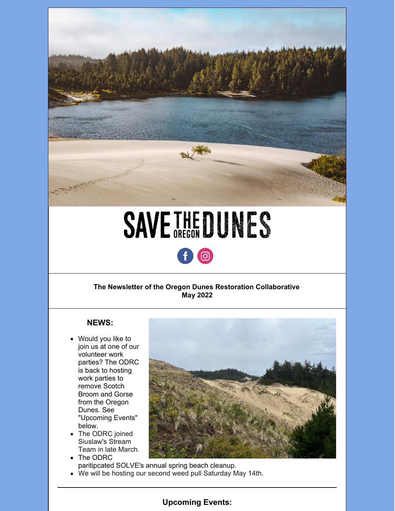

# **SAVETHEDUNES**



### **The Newsletter of the Oregon Dunes Restoration Collaborative May 2022**

### **NEWS:**

- Would you like to join us at one of our volunteer work parties? The ODRC is back to hosting work parties to remove Scotch Broom and Gorse from the Oregon Dunes. See "Upcoming Events" below.
- The ODRC joined Siuslaw's Stream Team in late March.
- 
- The ODRC paritipcated SOLVE's annual spring beach cleanup.
- We will be hosting our second weed pull Saturday May 14th.



## **Upcoming Events:**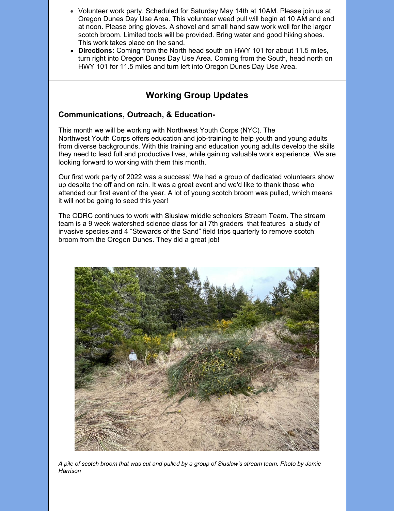- Volunteer work party. Scheduled for Saturday May 14th at 10AM. Please join us at Oregon Dunes Day Use Area. This volunteer weed pull will begin at 10 AM and end at noon. Please bring gloves. A shovel and small hand saw work well for the larger scotch broom. Limited tools will be provided. Bring water and good hiking shoes. This work takes place on the sand.
- **Directions:** Coming from the North head south on HWY 101 for about 11.5 miles, turn right into Oregon Dunes Day Use Area. Coming from the South, head north on HWY 101 for 11.5 miles and turn left into Oregon Dunes Day Use Area.

## **Working Group Updates**

#### **Communications, Outreach, & Education-**

This month we will be working with Northwest Youth Corps (NYC). The Northwest Youth Corps offers education and job-training to help youth and young adults from diverse backgrounds. With this training and education young adults develop the skills they need to lead full and productive lives, while gaining valuable work experience. We are looking forward to working with them this month.

Our first work party of 2022 was a success! We had a group of dedicated volunteers show up despite the off and on rain. It was a great event and we'd like to thank those who attended our first event of the year. A lot of young scotch broom was pulled, which means it will not be going to seed this year!

The ODRC continues to work with Siuslaw middle schoolers Stream Team. The stream team is a 9 week watershed science class for all 7th graders that features a study of invasive species and 4 "Stewards of the Sand" field trips quarterly to remove scotch broom from the Oregon Dunes. They did a great job!



A pile of scotch broom that was cut and pulled by a group of Siuslaw's stream team. Photo by Jamie *Harrison*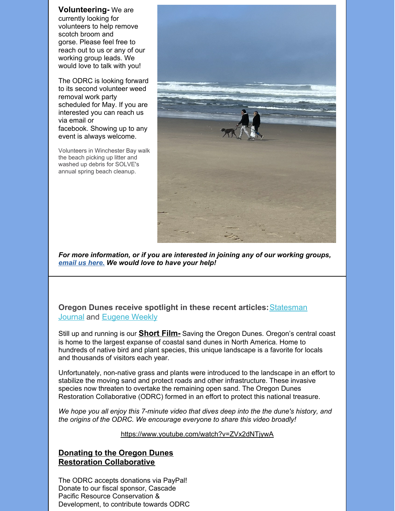**Volunteering-** We are currently looking for volunteers to help remove scotch broom and gorse. Please feel free to reach out to us or any of our working group leads. We would love to talk with you!

The ODRC is looking forward to its second volunteer weed removal work party scheduled for May. If you are interested you can reach us via email or facebook. Showing up to any event is always welcome.

Volunteers in Winchester Bay walk the beach picking up litter and washed up debris for SOLVE's annual spring beach cleanup.



*For more information, or if you are interested in joining any of our working groups, [email](mailto:saveoregondunes@gmail.com) us here. We would love to have your help!*

**Oregon Dunes receive spotlight in these recent articles:**[Statesman](https://www.statesmanjournal.com/story/travel/outdoors/2022/03/30/oregon-dunes-of-bob-straub-state-park-hold-secrets-in-sand-coastal-grasses-peek-oregons-past-future/65347155007/) Journal and [Eugene](https://eugeneweekly.com/2022/04/21/walking-on-sand/) Weekly

Still up and running is our **[Short](https://www.youtube.com/watch?v=ZVx2dNTjywA) Film-** Saving the Oregon Dunes. Oregon's central coast is home to the largest expanse of coastal sand dunes in North America. Home to hundreds of native bird and plant species, this unique landscape is a favorite for locals and thousands of visitors each year.

Unfortunately, non-native grass and plants were introduced to the landscape in an effort to stabilize the moving sand and protect roads and other infrastructure. These invasive species now threaten to overtake the remaining open sand. The Oregon Dunes Restoration Collaborative (ODRC) formed in an effort to protect this national treasure.

*We hope you all enjoy this 7-minute video that dives deep into the the dune's history, and the origins of the ODRC. We encourage everyone to share this video broadly!*

<https://www.youtube.com/watch?v=ZVx2dNTjywA>

## **Donating to the Oregon Dunes Restoration Collaborative**

The ODRC accepts donations via PayPal! Donate to our fiscal sponsor, Cascade Pacific Resource Conservation & Development, to contribute towards ODRC